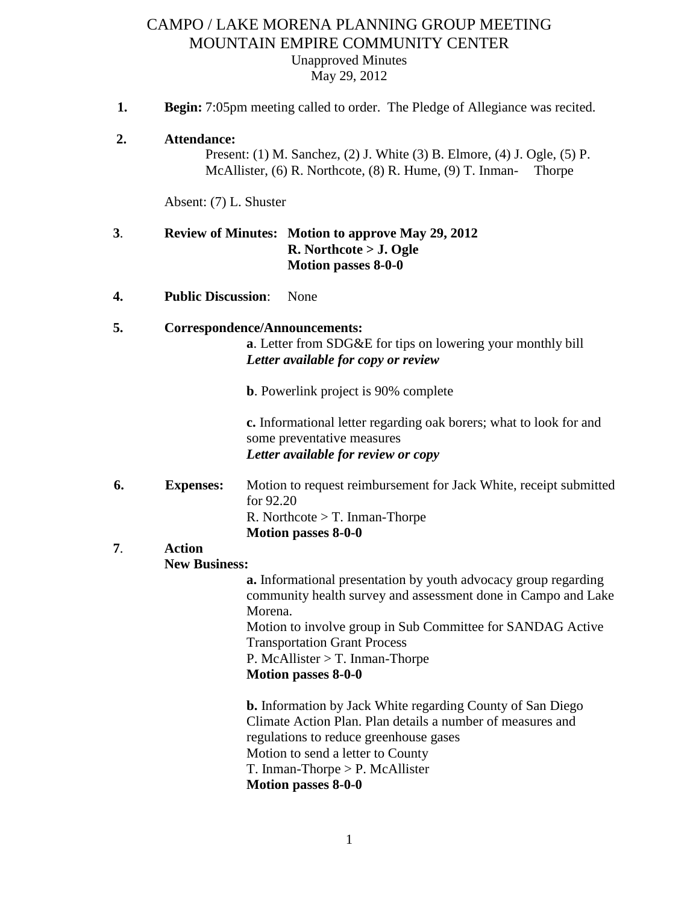# CAMPO / LAKE MORENA PLANNING GROUP MEETING MOUNTAIN EMPIRE COMMUNITY CENTER Unapproved Minutes May 29, 2012

- **1. Begin:** 7:05pm meeting called to order. The Pledge of Allegiance was recited.
- **2. Attendance:**

Present: (1) M. Sanchez, (2) J. White (3) B. Elmore, (4) J. Ogle, (5) P. McAllister, (6) R. Northcote, (8) R. Hume, (9) T. Inman- Thorpe

Absent: (7) L. Shuster

# **3**. **Review of Minutes: Motion to approve May 29, 2012 R. Northcote > J. Ogle Motion passes 8-0-0**

**4. Public Discussion**: None

# **5. Correspondence/Announcements:**

**a**. Letter from SDG&E for tips on lowering your monthly bill *Letter available for copy or review*

**b**. Powerlink project is 90% complete

**c.** Informational letter regarding oak borers; what to look for and some preventative measures *Letter available for review or copy*

 **6. Expenses:** Motion to request reimbursement for Jack White, receipt submitted for 92.20 R. Northcote  $>$  T. Inman-Thorpe **Motion passes 8-0-0**

### **7**. **Action New Business:**

**a.** Informational presentation by youth advocacy group regarding community health survey and assessment done in Campo and Lake Morena.

Motion to involve group in Sub Committee for SANDAG Active Transportation Grant Process

P. McAllister > T. Inman-Thorpe

## **Motion passes 8-0-0**

**b.** Information by Jack White regarding County of San Diego Climate Action Plan. Plan details a number of measures and regulations to reduce greenhouse gases Motion to send a letter to County T. Inman-Thorpe > P. McAllister **Motion passes 8-0-0**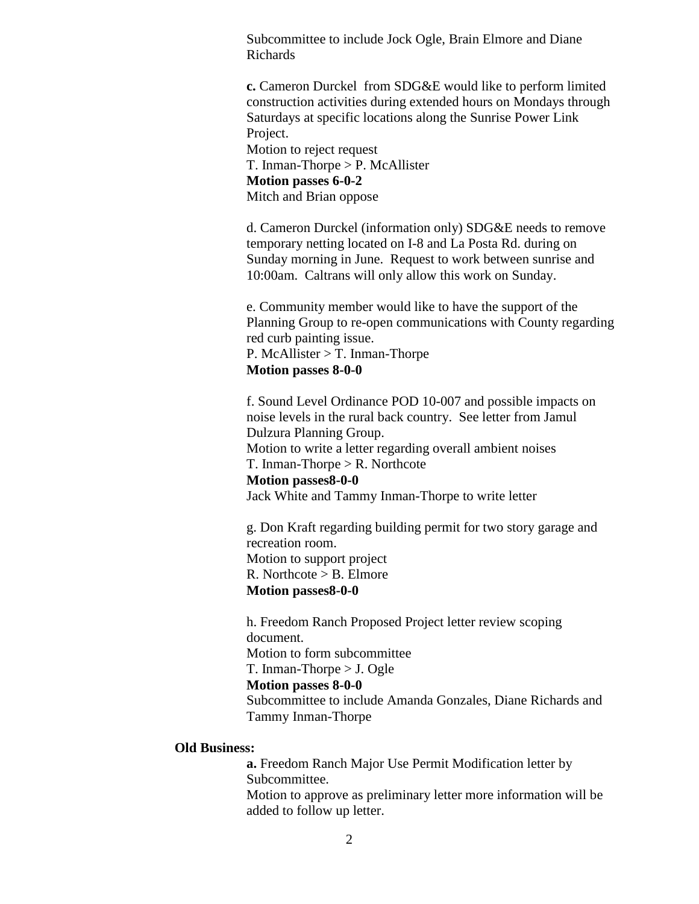Subcommittee to include Jock Ogle, Brain Elmore and Diane Richards

**c.** Cameron Durckel from SDG&E would like to perform limited construction activities during extended hours on Mondays through Saturdays at specific locations along the Sunrise Power Link Project.

Motion to reject request T. Inman-Thorpe > P. McAllister **Motion passes 6-0-2** Mitch and Brian oppose

d. Cameron Durckel (information only) SDG&E needs to remove temporary netting located on I-8 and La Posta Rd. during on Sunday morning in June. Request to work between sunrise and 10:00am. Caltrans will only allow this work on Sunday.

e. Community member would like to have the support of the Planning Group to re-open communications with County regarding red curb painting issue. P. McAllister > T. Inman-Thorpe **Motion passes 8-0-0**

f. Sound Level Ordinance POD 10-007 and possible impacts on noise levels in the rural back country. See letter from Jamul Dulzura Planning Group. Motion to write a letter regarding overall ambient noises T. Inman-Thorpe > R. Northcote **Motion passes8-0-0** Jack White and Tammy Inman-Thorpe to write letter

g. Don Kraft regarding building permit for two story garage and recreation room. Motion to support project R. Northcote > B. Elmore **Motion passes8-0-0**

h. Freedom Ranch Proposed Project letter review scoping document. Motion to form subcommittee T. Inman-Thorpe > J. Ogle **Motion passes 8-0-0** Subcommittee to include Amanda Gonzales, Diane Richards and Tammy Inman-Thorpe

### **Old Business:**

**a.** Freedom Ranch Major Use Permit Modification letter by Subcommittee.

Motion to approve as preliminary letter more information will be added to follow up letter.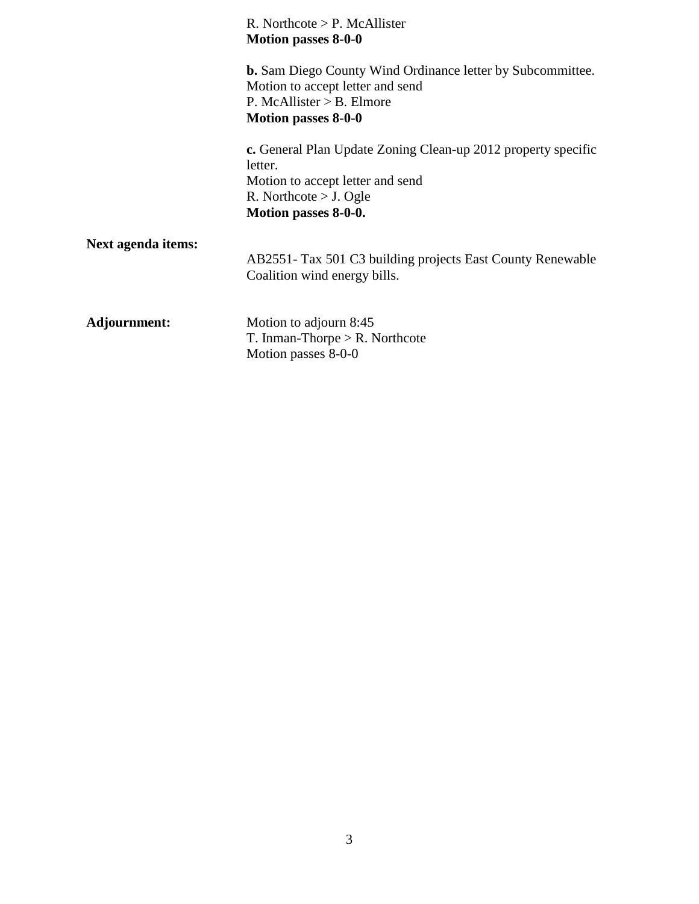|                    | $R.$ Northcote $> P.$ McAllister<br><b>Motion passes 8-0-0</b>                                                                                                     |
|--------------------|--------------------------------------------------------------------------------------------------------------------------------------------------------------------|
|                    | <b>b.</b> Sam Diego County Wind Ordinance letter by Subcommittee.<br>Motion to accept letter and send<br>P. McAllister $>$ B. Elmore<br><b>Motion passes 8-0-0</b> |
|                    | c. General Plan Update Zoning Clean-up 2012 property specific<br>letter.<br>Motion to accept letter and send<br>R. Northcote $>$ J. Ogle<br>Motion passes 8-0-0.   |
| Next agenda items: | AB2551- Tax 501 C3 building projects East County Renewable<br>Coalition wind energy bills.                                                                         |
| Adjournment:       | Motion to adjourn 8:45<br>T. Inman-Thorpe $>$ R. Northcote<br>Motion passes 8-0-0                                                                                  |